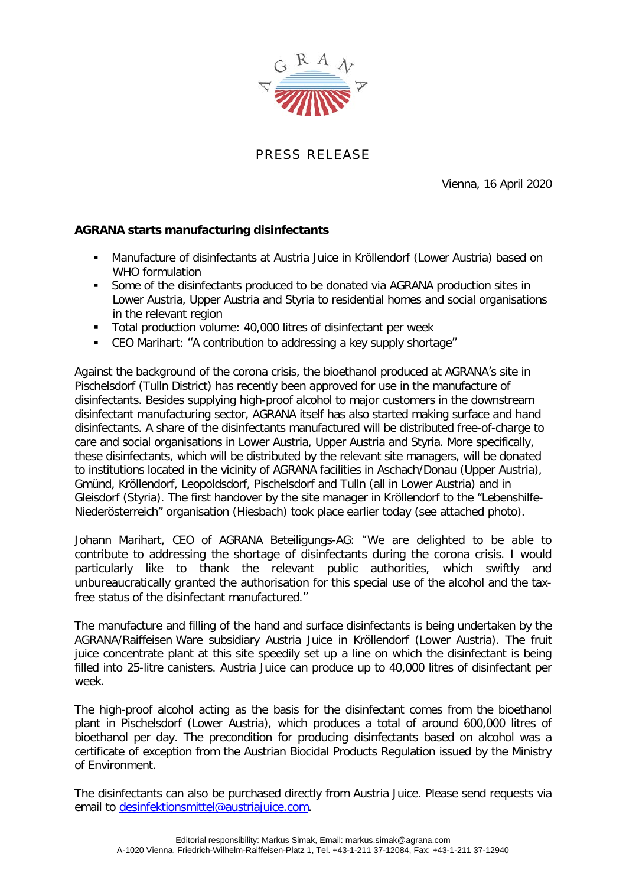

PRESS RELEASE

Vienna, 16 April 2020

## **AGRANA starts manufacturing disinfectants**

- Manufacture of disinfectants at Austria Juice in Kröllendorf (Lower Austria) based on WHO formulation
- Some of the disinfectants produced to be donated via AGRANA production sites in Lower Austria, Upper Austria and Styria to residential homes and social organisations in the relevant region
- Total production volume: 40,000 litres of disinfectant per week
- CEO Marihart: "A contribution to addressing a key supply shortage"

Against the background of the corona crisis, the bioethanol produced at AGRANA's site in Pischelsdorf (Tulln District) has recently been approved for use in the manufacture of disinfectants. Besides supplying high-proof alcohol to major customers in the downstream disinfectant manufacturing sector, AGRANA itself has also started making surface and hand disinfectants. A share of the disinfectants manufactured will be distributed free-of-charge to care and social organisations in Lower Austria, Upper Austria and Styria. More specifically, these disinfectants, which will be distributed by the relevant site managers, will be donated to institutions located in the vicinity of AGRANA facilities in Aschach/Donau (Upper Austria), Gmünd, Kröllendorf, Leopoldsdorf, Pischelsdorf and Tulln (all in Lower Austria) and in Gleisdorf (Styria). The first handover by the site manager in Kröllendorf to the "Lebenshilfe-Niederösterreich" organisation (Hiesbach) took place earlier today (see attached photo).

Johann Marihart, CEO of AGRANA Beteiligungs-AG: "We are delighted to be able to contribute to addressing the shortage of disinfectants during the corona crisis. I would particularly like to thank the relevant public authorities, which swiftly and unbureaucratically granted the authorisation for this special use of the alcohol and the taxfree status of the disinfectant manufactured."

The manufacture and filling of the hand and surface disinfectants is being undertaken by the AGRANA/Raiffeisen Ware subsidiary Austria Juice in Kröllendorf (Lower Austria). The fruit juice concentrate plant at this site speedily set up a line on which the disinfectant is being filled into 25-litre canisters. Austria Juice can produce up to 40,000 litres of disinfectant per week.

The high-proof alcohol acting as the basis for the disinfectant comes from the bioethanol plant in Pischelsdorf (Lower Austria), which produces a total of around 600,000 litres of bioethanol per day. The precondition for producing disinfectants based on alcohol was a certificate of exception from the Austrian Biocidal Products Regulation issued by the Ministry of Environment.

The disinfectants can also be purchased directly from Austria Juice. Please send requests via email to [desinfektionsmittel@austriajuice.com.](mailto:desinfektionsmittel@austriajuice.com)